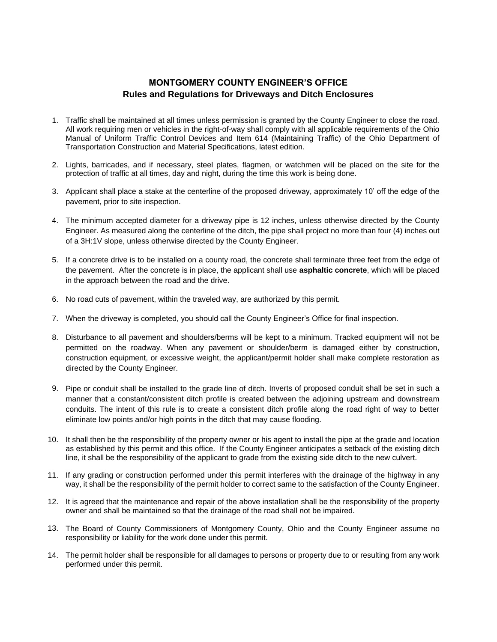## **MONTGOMERY COUNTY ENGINEER'S OFFICE Rules and Regulations for Driveways and Ditch Enclosures**

- 1. Traffic shall be maintained at all times unless permission is granted by the County Engineer to close the road. All work requiring men or vehicles in the right-of-way shall comply with all applicable requirements of the Ohio Manual of Uniform Traffic Control Devices and Item 614 (Maintaining Traffic) of the Ohio Department of Transportation Construction and Material Specifications, latest edition.
- 2. Lights, barricades, and if necessary, steel plates, flagmen, or watchmen will be placed on the site for the protection of traffic at all times, day and night, during the time this work is being done.
- 3. Applicant shall place a stake at the centerline of the proposed driveway, approximately 10' off the edge of the pavement, prior to site inspection.
- 4. The minimum accepted diameter for a driveway pipe is 12 inches, unless otherwise directed by the County Engineer. As measured along the centerline of the ditch, the pipe shall project no more than four (4) inches out of a 3H:1V slope, unless otherwise directed by the County Engineer.
- 5. If a concrete drive is to be installed on a county road, the concrete shall terminate three feet from the edge of the pavement. After the concrete is in place, the applicant shall use **asphaltic concrete**, which will be placed in the approach between the road and the drive.
- 6. No road cuts of pavement, within the traveled way, are authorized by this permit.
- 7. When the driveway is completed, you should call the County Engineer's Office for final inspection.
- 8. Disturbance to all pavement and shoulders/berms will be kept to a minimum. Tracked equipment will not be permitted on the roadway. When any pavement or shoulder/berm is damaged either by construction, construction equipment, or excessive weight, the applicant/permit holder shall make complete restoration as directed by the County Engineer.
- 9. Pipe or conduit shall be installed to the grade line of ditch. Inverts of proposed conduit shall be set in such a manner that a constant/consistent ditch profile is created between the adjoining upstream and downstream conduits. The intent of this rule is to create a consistent ditch profile along the road right of way to better eliminate low points and/or high points in the ditch that may cause flooding.
- 10. It shall then be the responsibility of the property owner or his agent to install the pipe at the grade and location as established by this permit and this office. If the County Engineer anticipates a setback of the existing ditch line, it shall be the responsibility of the applicant to grade from the existing side ditch to the new culvert.
- 11. If any grading or construction performed under this permit interferes with the drainage of the highway in any way, it shall be the responsibility of the permit holder to correct same to the satisfaction of the County Engineer.
- 12. It is agreed that the maintenance and repair of the above installation shall be the responsibility of the property owner and shall be maintained so that the drainage of the road shall not be impaired.
- 13. The Board of County Commissioners of Montgomery County, Ohio and the County Engineer assume no responsibility or liability for the work done under this permit.
- 14. The permit holder shall be responsible for all damages to persons or property due to or resulting from any work performed under this permit.